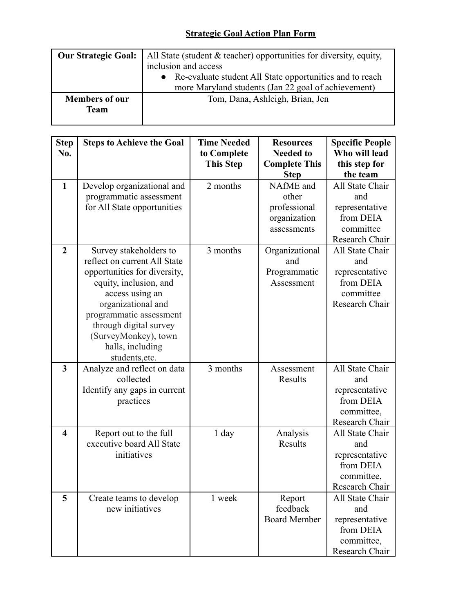## **Strategic Goal Action Plan Form**

| <b>Our Strategic Goal:</b> | All State (student $& teacher$ ) opportunities for diversity, equity, |  |  |  |
|----------------------------|-----------------------------------------------------------------------|--|--|--|
|                            | inclusion and access                                                  |  |  |  |
|                            | • Re-evaluate student All State opportunities and to reach            |  |  |  |
|                            | more Maryland students (Jan 22 goal of achievement)                   |  |  |  |
| <b>Members of our</b>      | Tom, Dana, Ashleigh, Brian, Jen                                       |  |  |  |
| <b>Team</b>                |                                                                       |  |  |  |
|                            |                                                                       |  |  |  |

| <b>Step</b>             | <b>Steps to Achieve the Goal</b> | <b>Time Needed</b> | <b>Resources</b>     | <b>Specific People</b> |
|-------------------------|----------------------------------|--------------------|----------------------|------------------------|
| No.                     |                                  | to Complete        | <b>Needed to</b>     | Who will lead          |
|                         |                                  | <b>This Step</b>   | <b>Complete This</b> | this step for          |
|                         |                                  |                    | <b>Step</b>          | the team               |
| $\mathbf{1}$            | Develop organizational and       | 2 months           | NAfME and            | All State Chair        |
|                         | programmatic assessment          |                    | other                | and                    |
|                         | for All State opportunities      |                    | professional         | representative         |
|                         |                                  |                    | organization         | from DEIA              |
|                         |                                  |                    | assessments          | committee              |
|                         |                                  |                    |                      | Research Chair         |
| $\overline{2}$          | Survey stakeholders to           | 3 months           | Organizational       | All State Chair        |
|                         | reflect on current All State     |                    | and                  | and                    |
|                         | opportunities for diversity,     |                    | Programmatic         | representative         |
|                         | equity, inclusion, and           |                    | Assessment           | from DEIA              |
|                         | access using an                  |                    |                      | committee              |
|                         | organizational and               |                    |                      | Research Chair         |
|                         | programmatic assessment          |                    |                      |                        |
|                         | through digital survey           |                    |                      |                        |
|                         | (SurveyMonkey), town             |                    |                      |                        |
|                         | halls, including                 |                    |                      |                        |
|                         | students, etc.                   |                    |                      |                        |
| $\overline{\mathbf{3}}$ | Analyze and reflect on data      | 3 months           | Assessment           | All State Chair        |
|                         | collected                        |                    | Results              | and                    |
|                         | Identify any gaps in current     |                    |                      | representative         |
|                         | practices                        |                    |                      | from DEIA              |
|                         |                                  |                    |                      | committee,             |
|                         |                                  |                    |                      | Research Chair         |
| $\overline{\mathbf{4}}$ | Report out to the full           | $1$ day            | Analysis             | All State Chair        |
|                         | executive board All State        |                    | Results              | and                    |
|                         | initiatives                      |                    |                      | representative         |
|                         |                                  |                    |                      | from DEIA              |
|                         |                                  |                    |                      | committee,             |
|                         |                                  |                    |                      | Research Chair         |
| 5                       | Create teams to develop          | 1 week             | Report               | All State Chair        |
|                         | new initiatives                  |                    | feedback             | and                    |
|                         |                                  |                    | <b>Board Member</b>  | representative         |
|                         |                                  |                    |                      | from DEIA              |
|                         |                                  |                    |                      | committee,             |
|                         |                                  |                    |                      | Research Chair         |